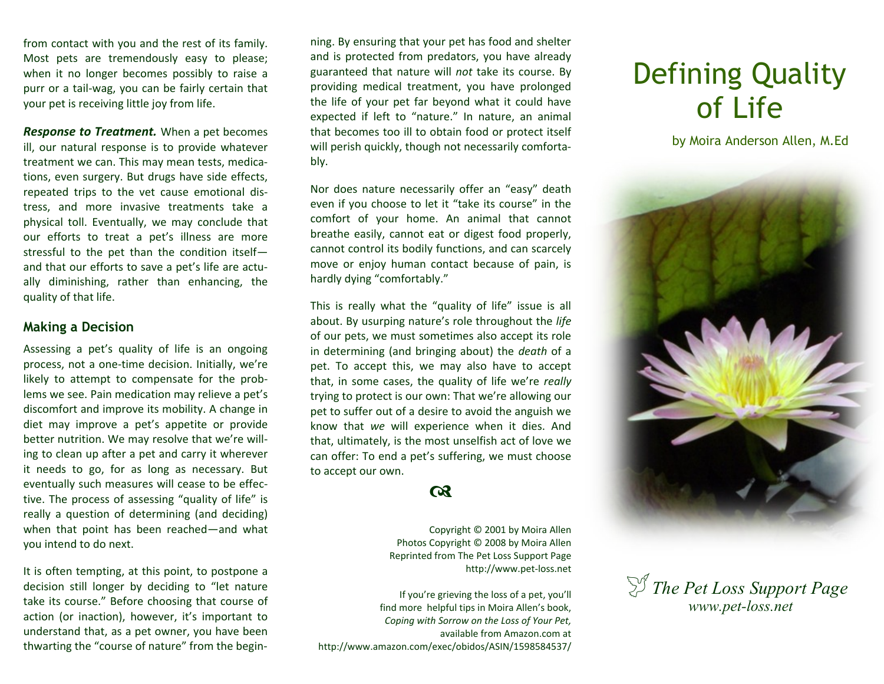from contact with you and the rest of its family. Most pets are tremendously easy to please; when it no longer becomes possibly to raise a purr or a tail-wag, you can be fairly certain that your pet is receiving little joy from life.

*Response to Treatment.* When a pet becomes ill, our natural response is to provide whatever treatment we can. This may mean tests, medications, even surgery. But drugs have side effects, repeated trips to the vet cause emotional distress, and more invasive treatments take a physical toll. Eventually, we may conclude that our efforts to treat a pet's illness are more stressful to the pet than the condition itself and that our efforts to save a pet's life are actually diminishing, rather than enhancing, the quality of that life.

## **Making a Decision**

Assessing a pet's quality of life is an ongoing process, not a one-time decision. Initially, we're likely to attempt to compensate for the problems we see. Pain medication may relieve a pet's discomfort and improve its mobility. A change in diet may improve a pet's appetite or provide better nutrition. We may resolve that we're willing to clean up after a pet and carry it wherever it needs to go, for as long as necessary. But eventually such measures will cease to be effective. The process of assessing "quality of life" is really a question of determining (and deciding) when that point has been reached—and what you intend to do next.

It is often tempting, at this point, to postpone a decision still longer by deciding to "let nature take its course." Before choosing that course of action (or inaction), however, it's important to understand that, as a pet owner, you have been thwarting the "course of nature" from the beginning. By ensuring that your pet has food and shelter and is protected from predators, you have already guaranteed that nature will *not* take its course. By providing medical treatment, you have prolonged the life of your pet far beyond what it could have expected if left to "nature." In nature, an animal that becomes too ill to obtain food or protect itself will perish quickly, though not necessarily comfortably.

Nor does nature necessarily offer an "easy" death even if you choose to let it "take its course" in the comfort of your home. An animal that cannot breathe easily, cannot eat or digest food properly, cannot control its bodily functions, and can scarcely move or enjoy human contact because of pain, is hardly dying "comfortably."

This is really what the "quality of life" issue is all about. By usurping nature's role throughout the *life* of our pets, we must sometimes also accept its role in determining (and bringing about) the *death* of a pet. To accept this, we may also have to accept that, in some cases, the quality of life we're *really* trying to protect is our own: That we're allowing our pet to suffer out of a desire to avoid the anguish we know that *we* will experience when it dies. And that, ultimately, is the most unselfish act of love we can offer: To end a pet's suffering, we must choose to accept our own.

## $\boldsymbol{\alpha}$

Copyright © 2001 by Moira Allen Photos Copyright © 2008 by Moira Allen Reprinted from The Pet Loss Support Page http://www.pet-loss.net

If you're grieving the loss of a pet, you'll find more helpful tips in Moira Allen's book, *Coping with Sorrow on the Loss of Your Pet,*  available from Amazon.com at http://www.amazon.com/exec/obidos/ASIN/1598584537/

## Defining Quality of Life

by Moira Anderson Allen, M.Ed